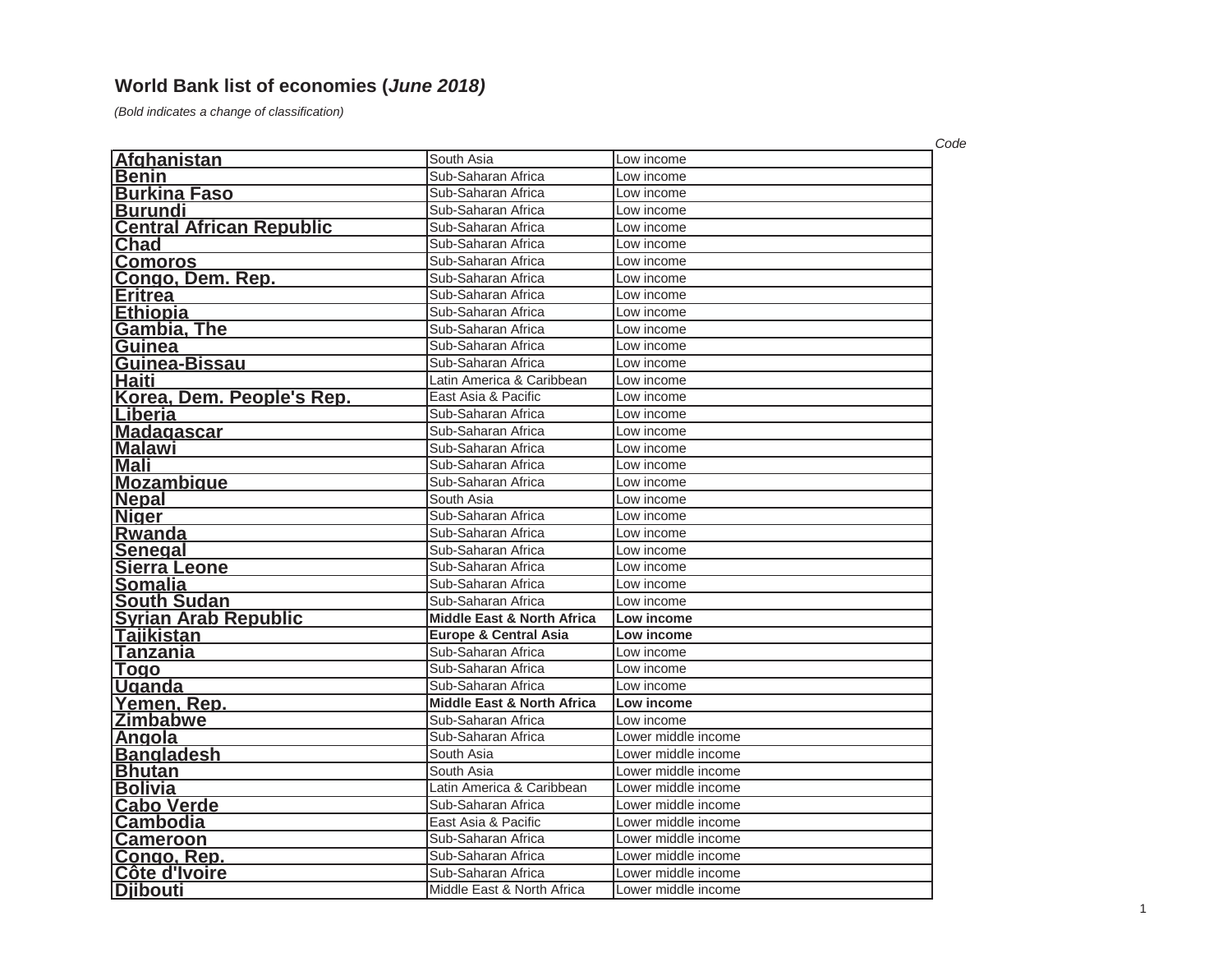## **World Bank list of economies (***June 2018)*

*(Bold indicates a change of classification)*

|                                 |                                       |                     | Code |
|---------------------------------|---------------------------------------|---------------------|------|
| Afghanistan                     | South Asia                            | Low income          |      |
| <b>Benin</b>                    | Sub-Saharan Africa                    | Low income          |      |
| <b>Burkina Faso</b>             | Sub-Saharan Africa                    | Low income          |      |
| <b>Burundi</b>                  | Sub-Saharan Africa                    | Low income          |      |
| <b>Central African Republic</b> | Sub-Saharan Africa                    | Low income          |      |
| Chad                            | Sub-Saharan Africa                    | Low income          |      |
| <b>Comoros</b>                  | Sub-Saharan Africa                    | Low income          |      |
| Congo, Dem. Rep.                | Sub-Saharan Africa                    | Low income          |      |
| <b>Eritrea</b>                  | Sub-Saharan Africa                    | Low income          |      |
| <b>Ethiopia</b>                 | Sub-Saharan Africa                    | Low income          |      |
| <b>Gambia, The</b>              | Sub-Saharan Africa                    | Low income          |      |
| Guinea                          | Sub-Saharan Africa                    | Low income          |      |
| Guinea-Bissau                   | Sub-Saharan Africa                    | Low income          |      |
| <b>Haiti</b>                    | Latin America & Caribbean             | Low income          |      |
| Korea, Dem. People's Rep.       | East Asia & Pacific                   | Low income          |      |
| Liberia                         | Sub-Saharan Africa                    | Low income          |      |
| <b>Madagascar</b>               | Sub-Saharan Africa                    | Low income          |      |
| <b>Malawi</b>                   | Sub-Saharan Africa                    | Low income          |      |
| <b>Mali</b>                     | Sub-Saharan Africa                    | Low income          |      |
| <b>Mozambique</b>               | Sub-Saharan Africa                    | Low income          |      |
| <b>Nepal</b>                    | South Asia                            | Low income          |      |
| <b>Niger</b>                    | Sub-Saharan Africa                    | Low income          |      |
| Rwanda                          | Sub-Saharan Africa                    | Low income          |      |
| <b>Senegal</b>                  | Sub-Saharan Africa                    | Low income          |      |
| <b>Sierra Leone</b>             | Sub-Saharan Africa                    | Low income          |      |
| <b>Somalia</b>                  | Sub-Saharan Africa                    | Low income          |      |
| <b>South Sudan</b>              | Sub-Saharan Africa                    | Low income          |      |
| <b>Syrian Arab Republic</b>     | <b>Middle East &amp; North Africa</b> | Low income          |      |
| <u> Tajikistan</u>              | <b>Europe &amp; Central Asia</b>      | Low income          |      |
| Tanzania                        | Sub-Saharan Africa                    | Low income          |      |
| <b>Togo</b>                     | Sub-Saharan Africa                    | Low income          |      |
| <b>Uganda</b>                   | Sub-Saharan Africa                    | Low income          |      |
| Yemen, Rep.                     | <b>Middle East &amp; North Africa</b> | Low income          |      |
| <b>Zimbabwe</b>                 | Sub-Saharan Africa                    | Low income          |      |
| <u>Angola</u>                   | Sub-Saharan Africa                    | Lower middle income |      |
| <b>Bangladesh</b>               | South Asia                            | Lower middle income |      |
| <b>Bhutan</b>                   | South Asia                            | Lower middle income |      |
| <b>Bolivia</b>                  | Latin America & Caribbean             | Lower middle income |      |
| <b>Cabo Verde</b>               | Sub-Saharan Africa                    | Lower middle income |      |
| <b>Cambodia</b>                 | East Asia & Pacific                   | Lower middle income |      |
| <b>Cameroon</b>                 | Sub-Saharan Africa                    | Lower middle income |      |
| <u>Congo, Rep.</u>              | Sub-Saharan Africa                    | Lower middle income |      |
| Côte d'Ivoire                   | Sub-Saharan Africa                    | Lower middle income |      |
| Djibouti                        | Middle East & North Africa            | Lower middle income |      |
|                                 |                                       |                     |      |